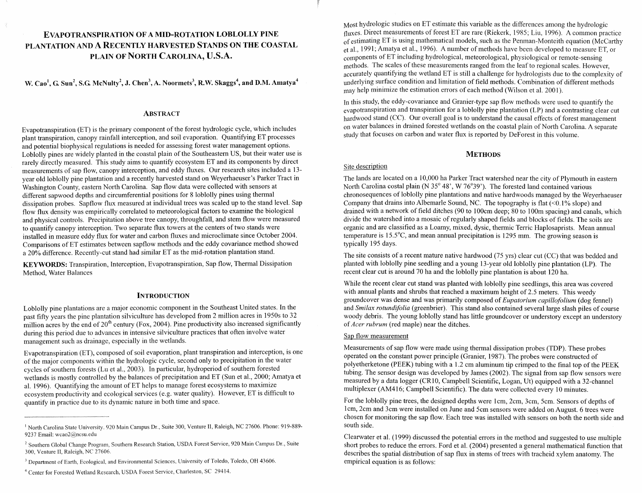# **EVAPOTRANSPIRATION OF A MID-ROTATION LOBLOLLY PINE P1,ANTATION AND h, RECENTLY HARVESTED STANDS ON THE COASTAL PLAIN OF NORTH CAROLINA, U.S.A.**

**W. Cao<sup>1</sup>, G. Sun<sup>2</sup>, S.G. McNulty<sup>2</sup>, J. Chen<sup>3</sup>, A. Noormets<sup>3</sup>, R.W. Skaggs<sup>4</sup>, and D.M. Amatya<sup>4</sup>** 

# **ABSTRACT**

Evapotranspiration (ET) is the primary component of the forest hydrologic cycle, which includes plant transpiration, canopy rainfall interception, and soil evaporation. Quantifying ET processes and potential biophysical regulations is needed for assessing forest water management options. Loblolly pines are widely planted in the coastal plain of the Southeastern US, but their water use is rarely directly measured. This study aims to quantify ecosystem ET and its components by direct measurements of sap flow, canopy interception, and eddy fluxes. Our research sites included a 13year old loblolly pine plantation and a recently harvested stand on Weyerhaeuser's Parker Tract in Washington County, eastern North Carolina. Sap flow data were collected with sensors at different sapwood depths and circumferential positions for 8 loblolly pines using thermal dissipation probes. Sapflow flux measured at individual trees was scaled up to the stand level. Sap flow flux density was empirically correlated to meteorological factors to examine the biological and physical controls. Precipitation above tree canopy, throughfall, and stem flow were measured to quantify canopy interception. Two separate flux towers at the centers of two stands were installed in measure eddy flux for water and carbon fluxes and microclimate since October 2004. Comparisons of ET estimates between sapflow methods and the eddy covariance method showed a 20% difTerence, Recently-cut stand had similar ET as the mid-rotation plantation stand.

KEYWORDS: Transpiration, Interception, Evapotranspiration, Sap flow, Thermal Dissipation Method, Water Balances

### **INTRODUCTION**

Loblolly pine plantations are a major economic component in the Southeast United states. In the past fifty years the pine plantation silviculfure has developed from 2 million acres in 1950s to 32 million acres by the end of 20<sup>th</sup> century (Fox, 2004). Pine productivity also increased significantly during this period due to advances in intensive silviculture practices that often involve water management such as drainage, especially in the wetlands.

Evapotranspiration (ET), composed of soil evaporation, plant transpiration and interception, is one of the major components within the hydrologic cycle, second only to precipitation in the water cycles of southern forests (Lu et al., 2003). In particular, hydroperiod of southern forested wetlands is mostly controlled by the balances of precipitation and ET (Sun et al., 2000; Amatya et al. 1996). Quantifying the amount of ET helps to manage forest ecosystems to maximize ecosystem productivity and ecological services (e.g. water quality). However, ET is difficult to quantify in practice due to its dynamic nature in both time and space.

~ost hydrologic studies on ET estimate this variable as the differences among the hydrologic fluxes. Direct measurements of forest ET are rare (Riekerk, 1985; Liu, 1996). A common practice of estimating ET is using mathematical models, such as the Penman-Monteith equation (McCarthy et al., 1991; Amatya et al., 1996). A number of methods have been developed to measure ET, or of ET including hydrological, meteorological, physiological or remote-sensing methods. The scales of these measurements ranged from the leaf to regional scales. However, accurately quantifying the wetland ET is still a challenge for hydrologists due to the complexity of underlying surface condition and limitation of field methods. Combination of different methods may help minimize the estimation errors of each method (Wilson et al. 2001).

In this study, the eddy-covariance and Granier-type sap flow methods were used to quantify the  $evanotranspiration$  and transpiration for a loblolly pine plantation (LP) and a contrasting clear cut hardwood stand (CC). Our overall goal is to understand the causal effects of forest management on water balances in drained forested wetlands on the coastal plain of North Carolina. A separate study that focuses on carbon and water flux is reported by DeForest in this volume.

## **METHODS**

## Site description

The lands are located on a 10,000 ha Parker Tract watershed near the city of Plymouth in eastern North Carolina costal plain (N 35° 48', W 76°39'). The forested land contained various chronosequences of loblolly pine plantations and native hardwoods managed by the Weyerhaeuser Company that drains into Albemarle Sound, NC. The topography is flat  $(<0.1\%$  slope) and drained with a network of field ditches (90 to l00cm deep; 80 to 100m spacing) and canals, which divide the watershed into a mosaic of regularly shaped fields and blocks of tields. The soils are organic and are classified as a Loamy, mixed, dysic, thennic Terric Haplosaprists. Mean annual temperature is  $15.5^{\circ}$ C, and mean annual precipitation is 1295 mm. The growing season is typically 195 days.

The site consists of a recent mature native hardwood (75 yrs) clear cut *(CC)* that was bedded and planted with loblolly pine seedling and a young 13-year old loblolly pine plantation (LP). The recent clear cut is around 70 ha and the loblolly pine plantation is about 120 ha.

While the recent clear cut stand was planted with loblolly pine seedlings, this area was covered with annual plants and shrubs that reached a maximum height of 2.5 meters. This weedy groundcover was dense and was primarily composed of *Eupatorium capillofolium* (dog fennel) and *Smilax rotundifolia* (greenbrier). This stand also contained several large slash piles of course woody debris. The young loblolly stand has little groundcover or understory except an understory of *Acer rubrum* (red maple) near the ditches.

# Sap flow measurement

Measurements of sap flow were made using thermal dissipation probes (TDP). These probes operated on the constant power principle (Granier, 1987). The probes were constructed of polyetherketone (PEEK) tubing with a 1.2 cm aluminum tip crimped to the final top of the PEEK tubing. The sensor design was developed by James (2002). The signal from sap flow sensors were measured by a data logger (CR10, Campbell Scientific, Logan, Ut) equipped with a 32-channel multiplexer (AM416; Campbell Scientific). The data were collected every 10 minutes.

For the loblolly pine trees, the designed depths were 1cm, 2cm, 3cm, 5cm. Sensors of depths of lcm, 2cm and 3cm were installed on June and 5cm sensors were added on August. 6 trees were chosen for monitoring the sap flow. Each tree was installed with sensors on both the north side and south side.

Clearwater et al. (1999) discussed the potential errors in the method and suggested to use multiple short probes to reduce the errors. Ford et al. (2004) presented a general mathematical function that describes the spatial distribution of sap flux in stems of trees with tracheid xylem anatomy. The empirical equation is as follows:

<sup>&</sup>lt;sup>1</sup> North Carolina State University. 920 Main Campus Dr., Suite 300, Venture II, Raleigh, NC 27606. Phone: 919-889-9237 Email: wcao2@ncsu.edu

<sup>&</sup>lt;sup>2</sup> Southern Global Change Program, Southern Research Station, USDA Forest Service, 920 Main Campus Dr., Suite 300, Venture II, Raleigh, NC 27606.

<sup>&</sup>lt;sup>3</sup> Department of Earth, Ecological, and Environmental Sciences, University of Toledo, Toledo, OH 43606.

<sup>&</sup>lt;sup>4</sup> Center for Forested Wetland Research, USDA Forest Service, Charleston, SC 29414.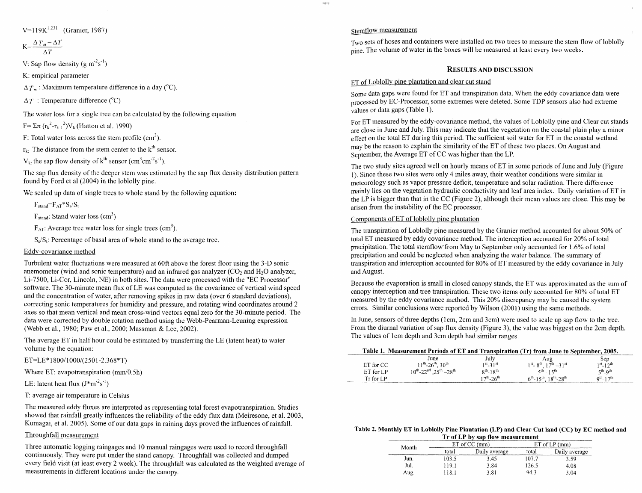$V=119K^{1.231}$  (Granier, 1987) Stemflow measurement

$$
K = \frac{\Delta T_m - \Delta T}{\Delta T}
$$

V: Sap flow density (g  $m^{-2}s^{-1}$ )

K: empirical parameter

 $\Delta T_m$ : Maximum temperature difference in a day (<sup>o</sup>C).

 $\Delta T$  : Temperature difference (<sup>o</sup>C)

The water loss for a single tree can be calculated by the following equation

 $F = \sum \pi (r_k^2 - r_{k-1}^2)V_k$  (Hatton et al. 1990)

F: Total water loss across the stem profile  $(cm<sup>3</sup>)$ .

 $r_k$ . The distance from the stem center to the  $k^{th}$  sensor.

 $V_k$  the sap flow density of k<sup>th</sup> sensor ( $cm^3cm^{-2}s^{-1}$ ).

The sap flux density of the deeper stem was estimated by the sap flux density distribution pattern found by Ford et a1 (2004) in the loblolly pine.

We scaled up data of single trees to whole stand by the following equation:

 $F_{stand} = F_{AT} * S_s / S_t$ 

 $F<sub>stand</sub>$ : Stand water loss (cm<sup>3</sup>)

 $F_{AT}$ : Average tree water loss for single trees (cm<sup>3</sup>).

 $S_{\nu}/S_{\nu}$ : Percentage of basal area of whole stand to the average tree.

## Eddy-covariance method

Turbulent water fluctuations were measured at 60ft above the forest floor using the 3-D sonic anemometer (wind and sonic temperature) and an infrared gas analyzer  $(CO<sub>2</sub>$  and  $H<sub>2</sub>O$  analyzer, Li-7500, Li-Cor, Lincoln, NE) in both sites. The data were processed with the "EC Processor" software. The 30-minute mean flux of LE was computed as the covariance of vertical wind speed and the concentration of water, after removing spikes in raw data (over 6 standard deviations), correcting sonic temperatures for humidity and pressure, and rotating wind coordinates around 2 axes so that mean vertical and mean cross-wind vectors equal zero for the 30-minute period. The data were corrected by double rotation method using the Webb-Pearrnan-Leuning expression (Webb et al., 1980; Paw et al., 2000; Massman & Lee, 2002).

The average ET in half hour could be estimated by transferring the LE (latent heat) to water volume by the equation:

ET~=LE\*1800/1000/(2501-2.368"T)

Where ET: evapotranspiration  $\text{mm}/0.5\text{h}$ )

LE: latent heat flux  $(J*m<sup>-2</sup>s<sup>-1</sup>)$ 

T: average air temperature in Celsius

The measured eddy fluxes are interpreted as representing total forest evapotranspiration. Studies showed that rainfall greatly influences the reliability of the eddy flux data (Meiresone, et al. 2003, Kumagai, et al. 2005). Some of our data gaps in raining days proved the influences of rainfall.

# Throughfall measurement

Three automatic logging raingages and 10 manual raingages were used to record throughfall continuously. They were put under the stand canopy. Throughfall was collected and dumped every field visit (at least every 2 week). The throughfall was calculated as the weighted average of measurements in different locations under the canopy.

next ty-

Two sets of hoses and containers were installed on two trees to measure the stem flow of loblolly pine. The volume of water in the boxes will be measured at least every two weeks.

# **RESULTS AND DISCUSSION**

# ET of Loblollv pine plantation and clear cut stand

Some data gaps were found for ET and transpiration data. When the eddy covariance data were processed by EC-Processor, some extremes were deleted. Some TDP sensors also had extreme or data gaps (Table **1).** 

For ET measured by the eddy-covariance method, the values of Loblolly pine and Clear cut stands are close in June and July. This may indicate that the vegetation on the coastal plain play a minor effect on the total ET during this period. The sufficient soil water for ET in the coastal wetland may be the reason to explain the similarity of the ET of these two places. On August and September, the Average ET of CC was higher than the LP.

The two study sites agreed well on hourly means of ET in some periods of June and July (Figure 1). Since these two sites were only 4 miles away, their weather conditions were similar in meteorology such as vapor pressure deficit, temperature and solar radiation. There difference mainly lies on the vegetation hydraulic conductivity and leaf area index. Daily variation of ET in the LP is bigger than that in the CC (Figure 21, although their mean values are close. This may be arisen from the instability of the EC processor.

# Components of ET of loblollv pine plantation

The transpiration of Loblolly pine measured by the Granier method accounted for about 50% of total ET measured by eddy covariance method. The interception accounted for 20% of total precipitation. The total stemflow from May to September only accounted for 1.6% of total precipitation and could be neglected when analyzing the water balance. The summary of transpiration and interception accounted for 80% of ET measured by the eddy covariance in July and August.

Because the evaporation is small in closed canopy stands, the ET was approximated as the surn of canopy interception and tree transpiration. These two items only accounted for 80% of total ET measured by the eddy covariance method. This 20% discrepancy may be caused the system errors. Similar conclusions were reported by Wilson (2001) using the same methods.

In June, sensors of three depths (lcm, 2cm and 3cm) were used to scale up sap flow to the tree. From the diurnal variation of sap flux density (Figure 3), the value was biggest on the 2cm depth. The values of lcm depth and 3cm depth had similar ranges.

|           |                                                                 |                     | Table 1. Measurement Periods of ET and Transpiration (Tr) from June to September, 2005. |                           |
|-----------|-----------------------------------------------------------------|---------------------|-----------------------------------------------------------------------------------------|---------------------------|
|           | June                                                            | July                | Aug                                                                                     | Sep                       |
| ET for CC | $11^{th}$ -26 <sup>th</sup> , 30 <sup>th</sup>                  | $1^{st} - 31^{st}$  | $1^{st} - 8^{th}$ , $17^{th} - 31^{st}$                                                 | $1^{st} - 12^{th}$        |
| ET for LP | $10^{th}$ -22 <sup>nd</sup> .25 <sup>th</sup> -28 <sup>th</sup> | $8^{th} - 18^{th}$  | $5^{th} - 15^{th}$                                                                      | $5^{th}$ - $9^{th}$       |
| Tr for LP |                                                                 | $17^{th} - 26^{th}$ | $6^{th}$ -15 <sup>th</sup> , 18 <sup>th</sup> -28 <sup>th</sup>                         | $Q^{th}$ 17 <sup>th</sup> |

#### **Table 2. Monthly ET in Loblolly Pine Plantation (LP) and Clear Cut )and (CC) by EC method and Tr of LP by sap flow measurement**

| Month |        | $ET$ of $CC$ (mm) | $ET$ of $LP$ (mm) |               |
|-------|--------|-------------------|-------------------|---------------|
|       | total  | Daily average     | total             | Daily average |
| Jun.  | 03.5   | 3.45              | 107.7             | 3.59          |
| Jul.  | 119.1  | 3.84              | 26.5              | 4.08          |
| Aug.  | ! 18.1 | 3.81              | 94.3              | 3.04          |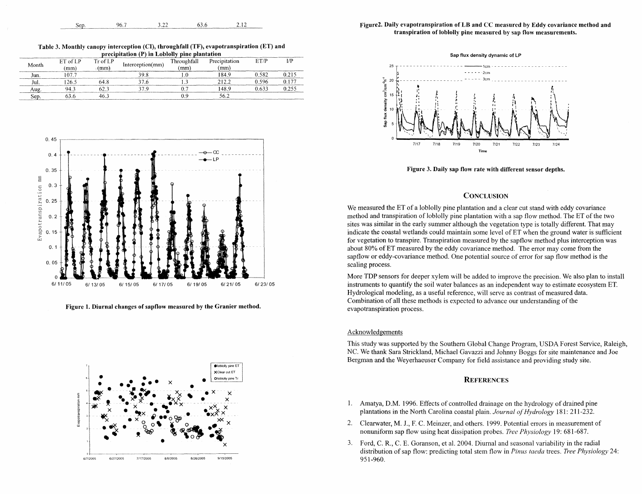

**'Fable 3. klonthly canopy interception (CI), throughfall (TF), evapotranspiration (ET) and** 

|       | Table 3. Monthly canopy interception (CI), throughfall (TF), evapotranspiration (ET) and |                  |                                                                   |                     |                       |       |              |  |  |  |
|-------|------------------------------------------------------------------------------------------|------------------|-------------------------------------------------------------------|---------------------|-----------------------|-------|--------------|--|--|--|
| Month | ET of LP<br>(mm)                                                                         | Tr of LP<br>(mm) | precipitation (P) in Loblolly pine plantation<br>Interception(mm) | Throughfall<br>(mm) | Precipitation<br>(mm) | ET/P  | $_{\rm I/P}$ |  |  |  |
| Jun.  | 107.7                                                                                    |                  | 39.8                                                              | ∣∩                  | 184.9                 | 0.582 | 0.215        |  |  |  |
| Jul.  | 126.5                                                                                    | 64 R             | 37 6                                                              |                     | 2122                  | 0.596 | 0.177        |  |  |  |
| Aug.  | 943                                                                                      | 62.3             | 37 Q                                                              | 0.7                 | 148.9                 | 0.633 | 0.255        |  |  |  |
| Sep.  | 63.6                                                                                     | 46.3             |                                                                   | 0.9                 | 56.2                  |       |              |  |  |  |



**Figure 1. Diurnal changes of sapflow measured by the Granier method.** 



#### **Figure2. Daily evapotranspiration of LB and CC measured by Eddy covariance method and transpiration of loblolly pine measured by sap flow measurements.**





**Figure 3. Daily sap flow rate with different sensor depths.** 

# **CONCLUSION**

We measured the ET of a loblolly pine plantation and a clear cut stand with eddy covariance method and transpiration of loblolly pine plantation with a sap flow method. The ET of the two sites was similar in the early summer although the vegetation type is totally different. That may indicate the coastal wetlands could maintain some level of ET when the ground water is sufficient for vegetation to transpire. Transpiration measured by the sapflow method plus interception was about 80% of ET measured by the eddy covariance method. The error may come from the sapflow or eddy-covariance method. One potential source of error for sap flow method is the scaling process.

More TDP sensors for deeper xylem will be added to improve the precision. We also plan to install instruments to quantify the soil water balances as an independent way to estimate ecosystem ET. Hydrological modeling, as a useful reference, will serve as contrast of measured data. Combination of all these methods is expected to advance our understanding of the evapotranspiration process.

## Acknowledgements

This study was supported by the Southern Global Change Program, USDA Forest Service, Raleigh, NC. We thank Sara Strickland, Michael Gavazzi and Johnny Boggs for site maintenance and Joe Bergman and the Weyerhaeuser Company for field assistance and providing study site.

# **REFERENCES**

- **1.** Amatya, D.M. 1996. Effects of controlled drainage on the hydrology of drained pine plantations in the North Carolina coastal plain. *Journal of Hydrology* 181: 211-232.
- 2. Clearwater, M. J., F. C. Meinzer, and others. 1999. Potential errors in measurement of nonuniform sap flow using heat dissipation probes. *Tree Physiology* 19: 681-687.
- **3.** Ford, C. R., C. E. Goranson, et al. 2004. Diurnal and seasonal variability in the radial distribution of sap flow: predicting total stem flow in *Pinus taeda* trees. *Tree Physiology* 24: *95* 1-960.